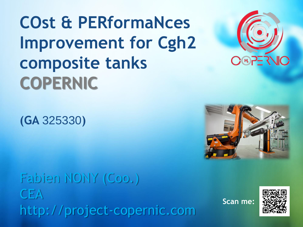**COst & PERformaNces Improvement for Cgh2 composite tanks COPERNIC**

**(GA** 325330**)**

Fabien NONY (Coo.) **CEA** http://project-copernic.com

**Scan me:**





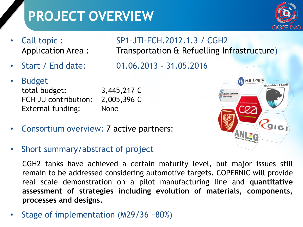## **PROJECT OVERVIEW**



- 
- 
- **Budget**

total budget:  $3,445,217 \in$ FCH JU contribution: 2,005,396 € External funding: None

- Consortium overview: 7 active partners:
- Short summary/abstract of project

CGH2 tanks have achieved a certain maturity level, but major issues still remain to be addressed considering automotive targets. COPERNIC will provide real scale demonstration on a pilot manufacturing line and **quantitative assessment of strategies including evolution of materials, components, processes and designs.**

• Stage of implementation (M29/36 ~80%)

### • Call topic : SP1-JTI-FCH.2012.1.3 / CGH2 Application Area : Transportation & Refuelling Infrastructure)

• Start / End date: 01.06.2013 - 31.05.2016

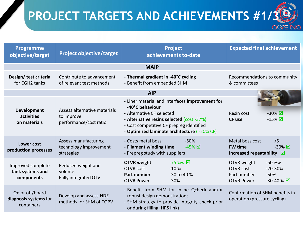## **PROJECT TARGETS AND ACHIEVEMENTS #1/3**

| <b>Programme</b><br>objective/target                   | <b>Project objective/target</b>                                      | <b>Project</b><br>achievements to-date                                                                                                                                                                                                  | <b>Expected final achievement</b>                                                                                              |
|--------------------------------------------------------|----------------------------------------------------------------------|-----------------------------------------------------------------------------------------------------------------------------------------------------------------------------------------------------------------------------------------|--------------------------------------------------------------------------------------------------------------------------------|
| <b>MAIP</b>                                            |                                                                      |                                                                                                                                                                                                                                         |                                                                                                                                |
| Design/ test criteria<br>for CGH2 tanks                | Contribute to advancement<br>of relevant test methods                | - Thermal gradient in -40°C cycling<br>- Benefit from embedded SHM                                                                                                                                                                      | Recommendations to community<br>& committees                                                                                   |
|                                                        |                                                                      | <b>AIP</b>                                                                                                                                                                                                                              |                                                                                                                                |
| Development<br>activities<br>on materials              | Assess alternative materials<br>to improve<br>performance/cost ratio | - Liner material and interfaces improvement for<br>-40°C behaviour<br>- Alternative CF selected<br>- Alternative resins selected (cost -37%)<br>- Cost competitive CF prepreg identified<br>- Optimized laminate architecture (-20% CF) | $-30\%$ $\overline{\blacksquare}$<br>Resin cost<br>$-15\%$ $\overline{\mathbf{\Omega}}$<br><b>CF</b> use                       |
| Lower cost<br>production processes                     | Assess manufacturing<br>technology improvement<br>strategies         | - Costs metal boss:<br>$-50%$<br>- Filament winding time:<br>$-45\%$ $\overline{\boxtimes}$<br>- Prepreg study with suppliers                                                                                                           | Metal boss cost<br>/5<br>$-30\%$ $\overline{\boxtimes}$<br><b>FW time</b><br>Increased repeatability $\Box$                    |
| Improved complete<br>tank systems and<br>components    | Reduced weight and<br>volume.<br>Fully integrated OTV                | <b>OTVR</b> weight<br>-75 %w <b>⊠</b><br>$-10%$<br>OTVR cost:<br>Part number<br>-30 to 40 %<br><b>OTVR Power</b><br>$-30%$                                                                                                              | OTVR weight<br>$-50$ %w<br>$-20-30%$<br><b>OTVR cost</b><br>$-50%$<br>Part number<br>$-30 - 40 \% \nabla$<br><b>OTVR Power</b> |
| On or off/board<br>diagnosis systems for<br>containers | Develop and assess NDE<br>methods for SHM of COPV                    | - Benefit from SHM for inline Qcheck and/or<br>robust design demonstration;<br>- SHM strategy to provide integrity check prior<br>or during filling (HRS link)                                                                          | Confirmation of SHM benefits in<br>operation (pressure cycling)                                                                |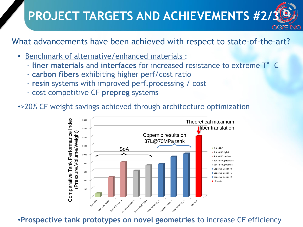## **PROJECT TARGETS AND ACHIEVEMENTS #2/3**

What advancements have been achieved with respect to state-of-the-art?

- Benchmark of alternative/enhanced materials :
	- **liner materials** and **interfaces** for increased resistance to extreme T°C
	- **carbon fibers** exhibiting higher perf/cost ratio
	- **resin** systems with improved perf.processing / cost
	- cost competitive CF **prepreg** systems

•>20% CF weight savings achieved through architecture optimization



•**Prospective tank prototypes on novel geometries** to increase CF efficiency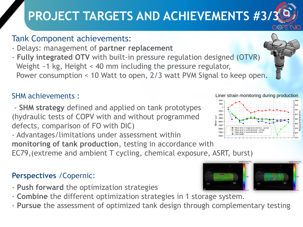## **PROJECT TARGETS AND ACHIEVEMENTS #3/**

### Tank Component achievements:

- Delays: management of **partner replacement**
- **Fully integrated OTV** with built-in pressure regulation designed (OTVR) Weight ~1 kg, Height < 40 mm including the pressure regulator, Power consumption < 10 Watt to open, 2/3 watt PVM Signal to keep open.

### SHM achievements :

- **SHM strategy** defined and applied on tank prototypes (hydraulic tests of COPV with and without programmed defects, comparison of FO with DIC)

 $-700$ - Advantages/limitations under assessment within **monitoring of tank production**, testing in accordance with EC79,(extreme and ambient T cycling, chemical exposure, ASRT, burst)

### **Perspectives** /Copernic:

- **Push forward** the optimization strategies
- **Combine** the different optimization strategies in 1 storage system.
- **Pursue** the assessment of optimized tank design through complementary testing







#### Liner strain monitoring during production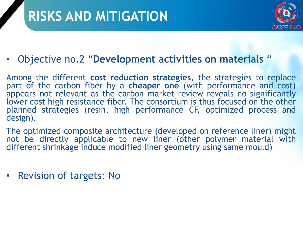### **RISKS AND MITIGATION**



### • Objective no.2 "**Development activities on materials** "

Among the different **cost reduction strategies**, the strategies to replace part of the carbon fiber by a **cheaper one** (with performance and cost) appears not relevant as the carbon market review reveals no significantly lower cost high resistance fiber. The consortium is thus focused on the other planned strategies (resin, high performance CF, optimized process and design).

The optimized composite architecture (developed on reference liner) might not be directly applicable to new liner (other polymer material with different shrinkage induce modified liner geometry using same mould)

• Revision of targets: No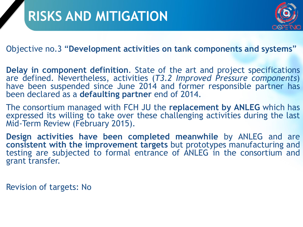

Objective no.3 "**Development activities on tank components and systems**"

**Delay in component definition**. State of the art and project specifications are defined. Nevertheless, activities (*T3.2 Improved Pressure components*) have been suspended since June 2014 and former responsible partner has been declared as a **defaulting partner** end of 2014.

The consortium managed with FCH JU the **replacement by ANLEG** which has expressed its willing to take over these challenging activities during the last Mid-Term Review (February 2015).

**Design activities have been completed meanwhile** by ANLEG and are **consistent with the improvement targets** but prototypes manufacturing and testing are subjected to formal entrance of ANLEG in the consortium and grant transfer.

Revision of targets: No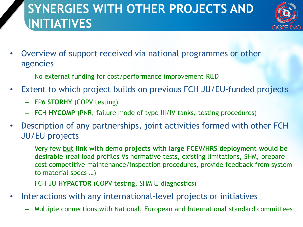### **SYNERGIES WITH OTHER PROJECTS AND INITIATIVES**



- Overview of support received via national programmes or other agencies
	- No external funding for cost/performance improvement R&D
- Extent to which project builds on previous FCH JU/EU-funded projects
	- FP6 **STORHY** (COPV testing)
	- FCH **HYCOMP** (PNR, failure mode of type III/IV tanks, testing procedures)
- Description of any partnerships, joint activities formed with other FCH JU/EU projects
	- Very few **but link with demo projects with large FCEV/HRS deployment would be desirable** (real load profiles Vs normative tests, existing limitations, SHM, prepare cost competitive maintenance/inspection procedures, provide feedback from system to material specs …)
	- FCH JU **HYPACTOR** (COPV testing, SHM & diagnostics)
- Interactions with any international-level projects or initiatives
	- Multiple connections with National, European and International standard committees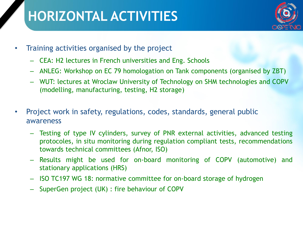### **HORIZONTAL ACTIVITIES**



- Training activities organised by the project
	- CEA: H2 lectures in French universities and Eng. Schools
	- ANLEG: Workshop on EC 79 homologation on Tank components (organised by ZBT)
	- WUT: lectures at Wroclaw University of Technology on SHM technologies and COPV (modelling, manufacturing, testing, H2 storage)
- Project work in safety, regulations, codes, standards, general public awareness
	- Testing of type IV cylinders, survey of PNR external activities, advanced testing protocoles, in situ monitoring during regulation compliant tests, recommendations towards technical committees (Afnor, ISO)
	- Results might be used for on-board monitoring of COPV (automotive) and stationary applications (HRS)
	- ISO TC197 WG 18: normative committee for on-board storage of hydrogen
	- SuperGen project (UK) : fire behaviour of COPV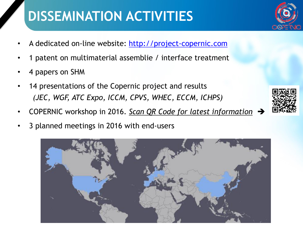## **DISSEMINATION ACTIVITIES**

- A dedicated on-line website: [http://project-copernic.com](http://project-copernic.com/)
- 1 patent on multimaterial assemblie / interface treatment
- 4 papers on SHM
- 14 presentations of the Copernic project and results *(JEC, WGF, ATC Expo, ICCM, CPVS, WHEC, ECCM, ICHPS)*
- COPERNIC workshop in 2016. *Scan QR Code for latest information*
- 3 planned meetings in 2016 with end-users